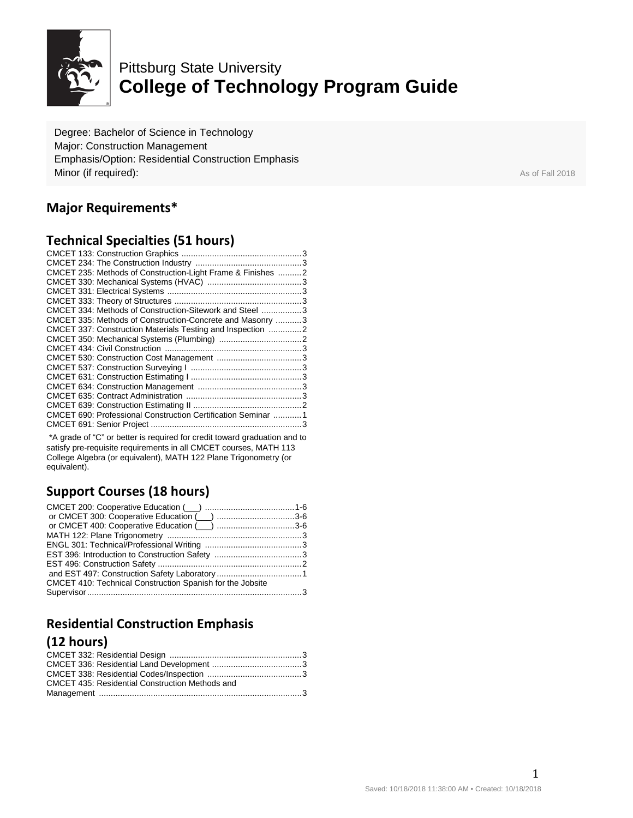

# Pittsburg State University **College of Technology Program Guide**

Degree: Bachelor of Science in Technology Major: Construction Management Emphasis/Option: Residential Construction Emphasis **Minor (if required):** As of Fall 2018

# **Major Requirements\***

### **Technical Specialties (51 hours)**

| CMCET 235: Methods of Construction-Light Frame & Finishes  2  |  |
|---------------------------------------------------------------|--|
|                                                               |  |
|                                                               |  |
|                                                               |  |
| CMCET 334: Methods of Construction-Sitework and Steel  3      |  |
| CMCET 335: Methods of Construction-Concrete and Masonry 3     |  |
| CMCET 337: Construction Materials Testing and Inspection 2    |  |
|                                                               |  |
|                                                               |  |
|                                                               |  |
|                                                               |  |
|                                                               |  |
|                                                               |  |
|                                                               |  |
|                                                               |  |
| CMCET 690: Professional Construction Certification Seminar  1 |  |
|                                                               |  |
|                                                               |  |

\*A grade of "C" or better is required for credit toward graduation and to satisfy pre-requisite requirements in all CMCET courses, MATH 113 College Algebra (or equivalent), MATH 122 Plane Trigonometry (or equivalent).

# **Support Courses (18 hours)**

| or CMCET 300: Cooperative Education (inc. numeron material 3-6 |  |
|----------------------------------------------------------------|--|
|                                                                |  |
|                                                                |  |
|                                                                |  |
|                                                                |  |
|                                                                |  |
|                                                                |  |
| CMCET 410: Technical Construction Spanish for the Jobsite      |  |
|                                                                |  |

# **Residential Construction Emphasis (12 hours)**

| <b>CMCET 435: Residential Construction Methods and</b> |  |
|--------------------------------------------------------|--|
|                                                        |  |